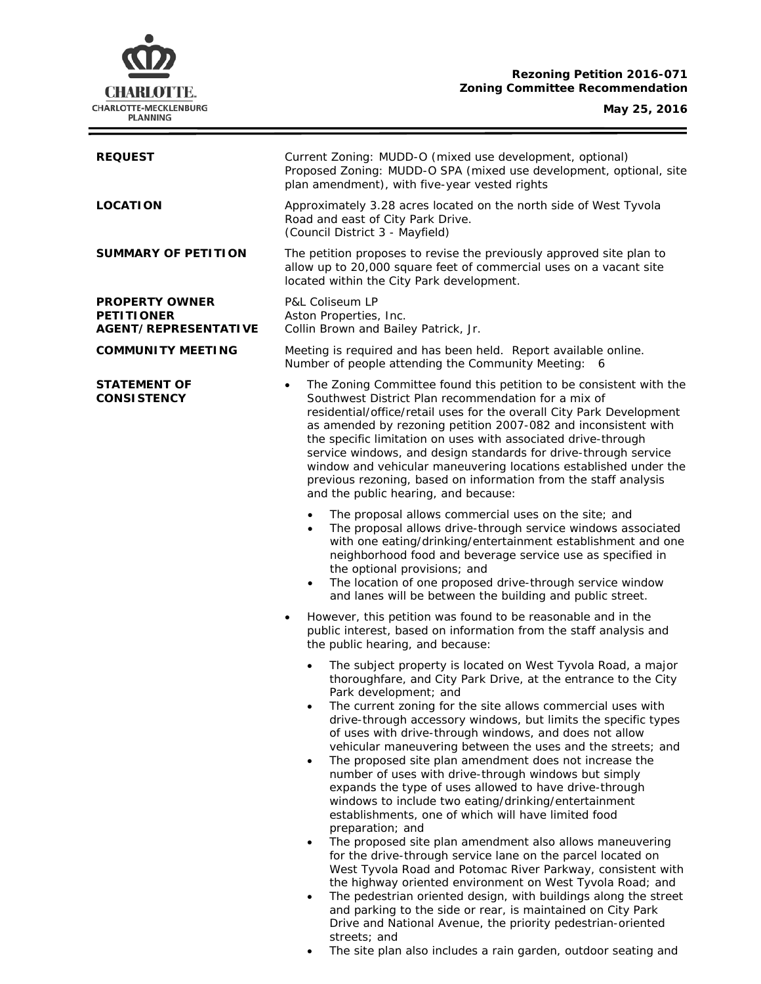# **Rezoning Petition 2016-071 Zoning Committee Recommendation**



| Current Zoning: MUDD-O (mixed use development, optional)<br>Proposed Zoning: MUDD-O SPA (mixed use development, optional, site<br>plan amendment), with five-year vested rights                                                                                                                                                                                                                                                                                                                                                                                                                                                                                                                                                                                                                                                                                                                                                                                                                                                                                                                                                                                               |
|-------------------------------------------------------------------------------------------------------------------------------------------------------------------------------------------------------------------------------------------------------------------------------------------------------------------------------------------------------------------------------------------------------------------------------------------------------------------------------------------------------------------------------------------------------------------------------------------------------------------------------------------------------------------------------------------------------------------------------------------------------------------------------------------------------------------------------------------------------------------------------------------------------------------------------------------------------------------------------------------------------------------------------------------------------------------------------------------------------------------------------------------------------------------------------|
| Approximately 3.28 acres located on the north side of West Tyvola<br>Road and east of City Park Drive.<br>(Council District 3 - Mayfield)                                                                                                                                                                                                                                                                                                                                                                                                                                                                                                                                                                                                                                                                                                                                                                                                                                                                                                                                                                                                                                     |
| The petition proposes to revise the previously approved site plan to<br>allow up to 20,000 square feet of commercial uses on a vacant site<br>located within the City Park development.                                                                                                                                                                                                                                                                                                                                                                                                                                                                                                                                                                                                                                                                                                                                                                                                                                                                                                                                                                                       |
| <b>P&amp;L Coliseum LP</b><br>Aston Properties, Inc.<br>Collin Brown and Bailey Patrick, Jr.                                                                                                                                                                                                                                                                                                                                                                                                                                                                                                                                                                                                                                                                                                                                                                                                                                                                                                                                                                                                                                                                                  |
| Meeting is required and has been held. Report available online.<br>Number of people attending the Community Meeting: 6                                                                                                                                                                                                                                                                                                                                                                                                                                                                                                                                                                                                                                                                                                                                                                                                                                                                                                                                                                                                                                                        |
| The Zoning Committee found this petition to be consistent with the<br>Southwest District Plan recommendation for a mix of<br>residential/office/retail uses for the overall City Park Development<br>as amended by rezoning petition 2007-082 and inconsistent with<br>the specific limitation on uses with associated drive-through<br>service windows, and design standards for drive-through service<br>window and vehicular maneuvering locations established under the<br>previous rezoning, based on information from the staff analysis<br>and the public hearing, and because:                                                                                                                                                                                                                                                                                                                                                                                                                                                                                                                                                                                        |
| The proposal allows commercial uses on the site; and<br>$\bullet$<br>The proposal allows drive-through service windows associated<br>$\bullet$<br>with one eating/drinking/entertainment establishment and one<br>neighborhood food and beverage service use as specified in<br>the optional provisions; and<br>The location of one proposed drive-through service window<br>$\bullet$<br>and lanes will be between the building and public street.                                                                                                                                                                                                                                                                                                                                                                                                                                                                                                                                                                                                                                                                                                                           |
| However, this petition was found to be reasonable and in the<br>$\bullet$<br>public interest, based on information from the staff analysis and<br>the public hearing, and because:                                                                                                                                                                                                                                                                                                                                                                                                                                                                                                                                                                                                                                                                                                                                                                                                                                                                                                                                                                                            |
| The subject property is located on West Tyvola Road, a major<br>$\bullet$<br>thoroughfare, and City Park Drive, at the entrance to the City<br>Park development; and<br>The current zoning for the site allows commercial uses with<br>drive-through accessory windows, but limits the specific types<br>of uses with drive-through windows, and does not allow<br>vehicular maneuvering between the uses and the streets; and<br>The proposed site plan amendment does not increase the<br>$\bullet$<br>number of uses with drive-through windows but simply<br>expands the type of uses allowed to have drive-through<br>windows to include two eating/drinking/entertainment<br>establishments, one of which will have limited food<br>preparation; and<br>The proposed site plan amendment also allows maneuvering<br>$\bullet$<br>for the drive-through service lane on the parcel located on<br>West Tyvola Road and Potomac River Parkway, consistent with<br>the highway oriented environment on West Tyvola Road; and<br>The pedestrian oriented design, with buildings along the street<br>$\bullet$<br>and parking to the side or rear, is maintained on City Park |
|                                                                                                                                                                                                                                                                                                                                                                                                                                                                                                                                                                                                                                                                                                                                                                                                                                                                                                                                                                                                                                                                                                                                                                               |

streets; and

• The site plan also includes a rain garden, outdoor seating and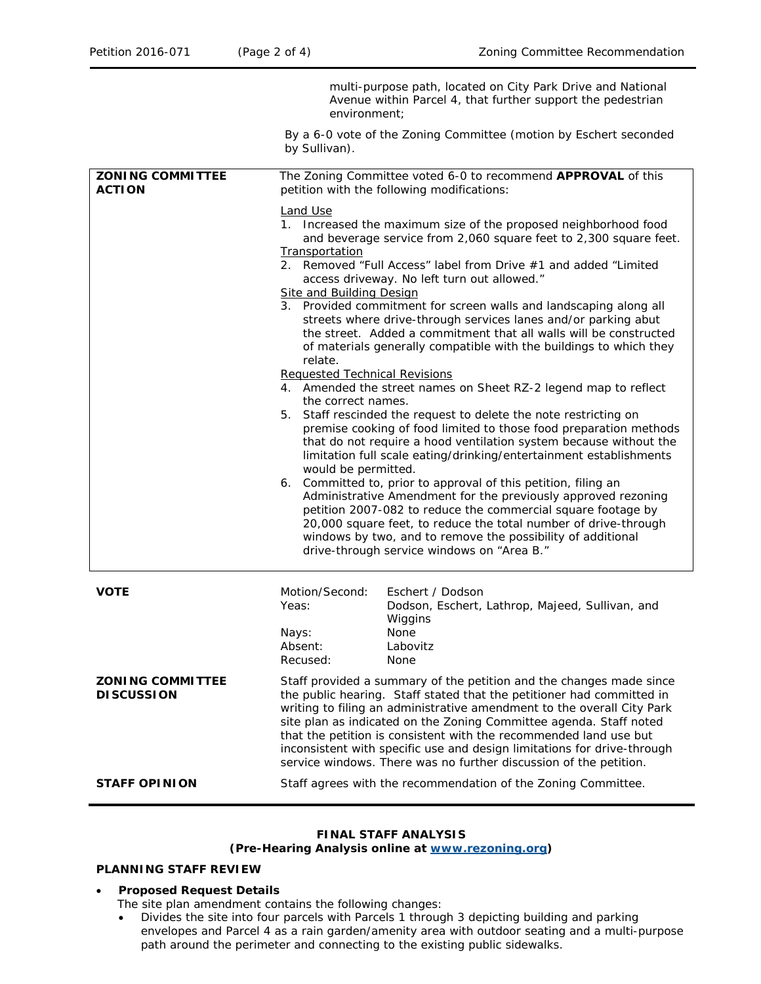|                                              | multi-purpose path, located on City Park Drive and National<br>Avenue within Parcel 4, that further support the pedestrian<br>environment;                                                                                                                                                                                                                                                                                                                                                                                                                                                                                                                                                                                                                                                                                                                                                                                                                                                                                                                                                                                                                                                                                                                                                                                                                                                                                                          |
|----------------------------------------------|-----------------------------------------------------------------------------------------------------------------------------------------------------------------------------------------------------------------------------------------------------------------------------------------------------------------------------------------------------------------------------------------------------------------------------------------------------------------------------------------------------------------------------------------------------------------------------------------------------------------------------------------------------------------------------------------------------------------------------------------------------------------------------------------------------------------------------------------------------------------------------------------------------------------------------------------------------------------------------------------------------------------------------------------------------------------------------------------------------------------------------------------------------------------------------------------------------------------------------------------------------------------------------------------------------------------------------------------------------------------------------------------------------------------------------------------------------|
|                                              | By a 6-0 vote of the Zoning Committee (motion by Eschert seconded<br>by Sullivan).                                                                                                                                                                                                                                                                                                                                                                                                                                                                                                                                                                                                                                                                                                                                                                                                                                                                                                                                                                                                                                                                                                                                                                                                                                                                                                                                                                  |
| <b>ZONING COMMITTEE</b><br><b>ACTION</b>     | The Zoning Committee voted 6-0 to recommend APPROVAL of this<br>petition with the following modifications:                                                                                                                                                                                                                                                                                                                                                                                                                                                                                                                                                                                                                                                                                                                                                                                                                                                                                                                                                                                                                                                                                                                                                                                                                                                                                                                                          |
|                                              | Land Use<br>1. Increased the maximum size of the proposed neighborhood food<br>and beverage service from 2,060 square feet to 2,300 square feet.<br>Transportation<br>2. Removed "Full Access" label from Drive #1 and added "Limited<br>access driveway. No left turn out allowed."<br><b>Site and Building Design</b><br>3. Provided commitment for screen walls and landscaping along all<br>streets where drive-through services lanes and/or parking abut<br>the street. Added a commitment that all walls will be constructed<br>of materials generally compatible with the buildings to which they<br>relate.<br><b>Requested Technical Revisions</b><br>4. Amended the street names on Sheet RZ-2 legend map to reflect<br>the correct names.<br>5. Staff rescinded the request to delete the note restricting on<br>premise cooking of food limited to those food preparation methods<br>that do not require a hood ventilation system because without the<br>limitation full scale eating/drinking/entertainment establishments<br>would be permitted.<br>6. Committed to, prior to approval of this petition, filing an<br>Administrative Amendment for the previously approved rezoning<br>petition 2007-082 to reduce the commercial square footage by<br>20,000 square feet, to reduce the total number of drive-through<br>windows by two, and to remove the possibility of additional<br>drive-through service windows on "Area B." |
| <b>VOTE</b>                                  | Motion/Second:<br>Eschert / Dodson<br>Yeas:<br>Dodson, Eschert, Lathrop, Majeed, Sullivan, and<br>Wiggins                                                                                                                                                                                                                                                                                                                                                                                                                                                                                                                                                                                                                                                                                                                                                                                                                                                                                                                                                                                                                                                                                                                                                                                                                                                                                                                                           |
|                                              | None<br>Nays:<br>Absent:<br>Labovitz<br>Recused:<br>None                                                                                                                                                                                                                                                                                                                                                                                                                                                                                                                                                                                                                                                                                                                                                                                                                                                                                                                                                                                                                                                                                                                                                                                                                                                                                                                                                                                            |
| <b>ZONING COMMITTEE</b><br><b>DISCUSSION</b> | Staff provided a summary of the petition and the changes made since<br>the public hearing. Staff stated that the petitioner had committed in<br>writing to filing an administrative amendment to the overall City Park<br>site plan as indicated on the Zoning Committee agenda. Staff noted<br>that the petition is consistent with the recommended land use but<br>inconsistent with specific use and design limitations for drive-through<br>service windows. There was no further discussion of the petition.                                                                                                                                                                                                                                                                                                                                                                                                                                                                                                                                                                                                                                                                                                                                                                                                                                                                                                                                   |
| <b>STAFF OPINION</b>                         | Staff agrees with the recommendation of the Zoning Committee.                                                                                                                                                                                                                                                                                                                                                                                                                                                                                                                                                                                                                                                                                                                                                                                                                                                                                                                                                                                                                                                                                                                                                                                                                                                                                                                                                                                       |

# **FINAL STAFF ANALYSIS**

**(Pre-Hearing Analysis online at [www.rezoning.org\)](http://www.rezoning.org/)** 

## **PLANNING STAFF REVIEW**

### • **Proposed Request Details**

The site plan amendment contains the following changes:

• Divides the site into four parcels with Parcels 1 through 3 depicting building and parking envelopes and Parcel 4 as a rain garden/amenity area with outdoor seating and a multi-purpose path around the perimeter and connecting to the existing public sidewalks.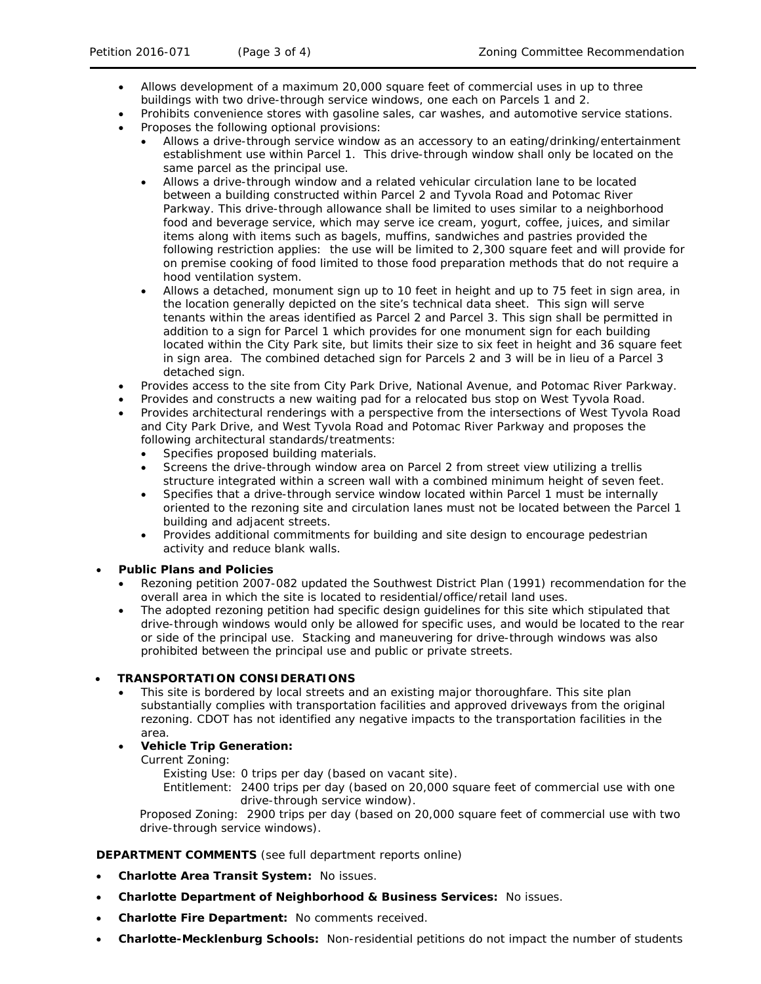- Allows development of a maximum 20,000 square feet of commercial uses in up to three buildings with two drive-through service windows, one each on Parcels 1 and 2.
- Prohibits convenience stores with gasoline sales, car washes, and automotive service stations.
- Proposes the following optional provisions:
	- Allows a drive-through service window as an accessory to an eating/drinking/entertainment establishment use within Parcel 1. This drive-through window shall only be located on the same parcel as the principal use.
	- Allows a drive-through window and a related vehicular circulation lane to be located between a building constructed within Parcel 2 and Tyvola Road and Potomac River Parkway. This drive-through allowance shall be limited to uses similar to a neighborhood food and beverage service, which may serve ice cream, yogurt, coffee, juices, and similar items along with items such as bagels, muffins, sandwiches and pastries provided the following restriction applies: the use will be limited to 2,300 square feet and will provide for on premise cooking of food limited to those food preparation methods that do not require a hood ventilation system.
	- Allows a detached, monument sign up to 10 feet in height and up to 75 feet in sign area, in the location generally depicted on the site's technical data sheet. This sign will serve tenants within the areas identified as Parcel 2 and Parcel 3. This sign shall be permitted in addition to a sign for Parcel 1 which provides for one monument sign for each building located within the City Park site, but limits their size to six feet in height and 36 square feet in sign area. The combined detached sign for Parcels 2 and 3 will be in lieu of a Parcel 3 detached sign.
- Provides access to the site from City Park Drive, National Avenue, and Potomac River Parkway.
- Provides and constructs a new waiting pad for a relocated bus stop on West Tyvola Road.
- Provides architectural renderings with a perspective from the intersections of West Tyvola Road and City Park Drive, and West Tyvola Road and Potomac River Parkway and proposes the following architectural standards/treatments:
	- Specifies proposed building materials.
	- Screens the drive-through window area on Parcel 2 from street view utilizing a trellis structure integrated within a screen wall with a combined minimum height of seven feet.
	- Specifies that a drive-through service window located within Parcel 1 must be internally oriented to the rezoning site and circulation lanes must not be located between the Parcel 1 building and adjacent streets.
	- Provides additional commitments for building and site design to encourage pedestrian activity and reduce blank walls.

### • **Public Plans and Policies**

- Rezoning petition 2007-082 updated the *Southwest District Plan* (1991) recommendation for the overall area in which the site is located to residential/office/retail land uses.
- The adopted rezoning petition had specific design guidelines for this site which stipulated that drive-through windows would only be allowed for specific uses, and would be located to the rear or side of the principal use. Stacking and maneuvering for drive-through windows was also prohibited between the principal use and public or private streets.

## • **TRANSPORTATION CONSIDERATIONS**

- This site is bordered by local streets and an existing major thoroughfare. This site plan substantially complies with transportation facilities and approved driveways from the original rezoning. CDOT has not identified any negative impacts to the transportation facilities in the area.
- **Vehicle Trip Generation:**

Current Zoning:

Existing Use: 0 trips per day (based on vacant site).

Entitlement: 2400 trips per day (based on 20,000 square feet of commercial use with one drive-through service window).

Proposed Zoning: 2900 trips per day (based on 20,000 square feet of commercial use with two drive-through service windows).

## **DEPARTMENT COMMENTS** (see full department reports online)

- **Charlotte Area Transit System:** No issues.
- **Charlotte Department of Neighborhood & Business Services:** No issues.
- **Charlotte Fire Department:** No comments received.
- **Charlotte-Mecklenburg Schools:** Non-residential petitions do not impact the number of students